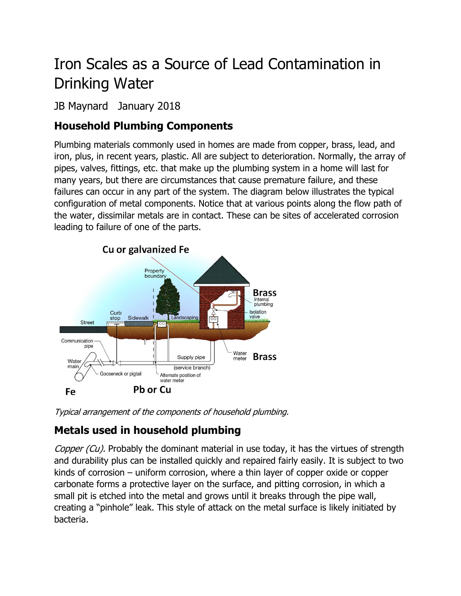# Iron Scales as a Source of Lead Contamination in Drinking Water

# JB Maynard January 2018

# **Household Plumbing Components**

Plumbing materials commonly used in homes are made from copper, brass, lead, and iron, plus, in recent years, plastic. All are subject to deterioration. Normally, the array of pipes, valves, fittings, etc. that make up the plumbing system in a home will last for many years, but there are circumstances that cause premature failure, and these failures can occur in any part of the system. The diagram below illustrates the typical configuration of metal components. Notice that at various points along the flow path of the water, dissimilar metals are in contact. These can be sites of accelerated corrosion leading to failure of one of the parts.



Typical arrangement of the components of household plumbing.

# **Metals used in household plumbing**

Copper (Cu). Probably the dominant material in use today, it has the virtues of strength and durability plus can be installed quickly and repaired fairly easily. It is subject to two kinds of corrosion – uniform corrosion, where a thin layer of copper oxide or copper carbonate forms a protective layer on the surface, and pitting corrosion, in which a small pit is etched into the metal and grows until it breaks through the pipe wall, creating a "pinhole" leak. This style of attack on the metal surface is likely initiated by bacteria.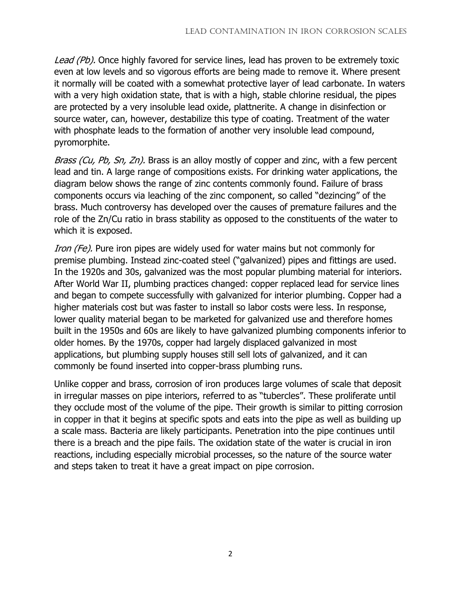Lead (Pb). Once highly favored for service lines, lead has proven to be extremely toxic even at low levels and so vigorous efforts are being made to remove it. Where present it normally will be coated with a somewhat protective layer of lead carbonate. In waters with a very high oxidation state, that is with a high, stable chlorine residual, the pipes are protected by a very insoluble lead oxide, plattnerite. A change in disinfection or source water, can, however, destabilize this type of coating. Treatment of the water with phosphate leads to the formation of another very insoluble lead compound, pyromorphite.

Brass (Cu, Pb, Sn, Zn). Brass is an alloy mostly of copper and zinc, with a few percent lead and tin. A large range of compositions exists. For drinking water applications, the diagram below shows the range of zinc contents commonly found. Failure of brass components occurs via leaching of the zinc component, so called "dezincing" of the brass. Much controversy has developed over the causes of premature failures and the role of the Zn/Cu ratio in brass stability as opposed to the constituents of the water to which it is exposed.

Iron (Fe). Pure iron pipes are widely used for water mains but not commonly for premise plumbing. Instead zinc-coated steel ("galvanized) pipes and fittings are used. In the 1920s and 30s, galvanized was the most popular plumbing material for interiors. After World War II, plumbing practices changed: copper replaced lead for service lines and began to compete successfully with galvanized for interior plumbing. Copper had a higher materials cost but was faster to install so labor costs were less. In response, lower quality material began to be marketed for galvanized use and therefore homes built in the 1950s and 60s are likely to have galvanized plumbing components inferior to older homes. By the 1970s, copper had largely displaced galvanized in most applications, but plumbing supply houses still sell lots of galvanized, and it can commonly be found inserted into copper-brass plumbing runs.

Unlike copper and brass, corrosion of iron produces large volumes of scale that deposit in irregular masses on pipe interiors, referred to as "tubercles". These proliferate until they occlude most of the volume of the pipe. Their growth is similar to pitting corrosion in copper in that it begins at specific spots and eats into the pipe as well as building up a scale mass. Bacteria are likely participants. Penetration into the pipe continues until there is a breach and the pipe fails. The oxidation state of the water is crucial in iron reactions, including especially microbial processes, so the nature of the source water and steps taken to treat it have a great impact on pipe corrosion.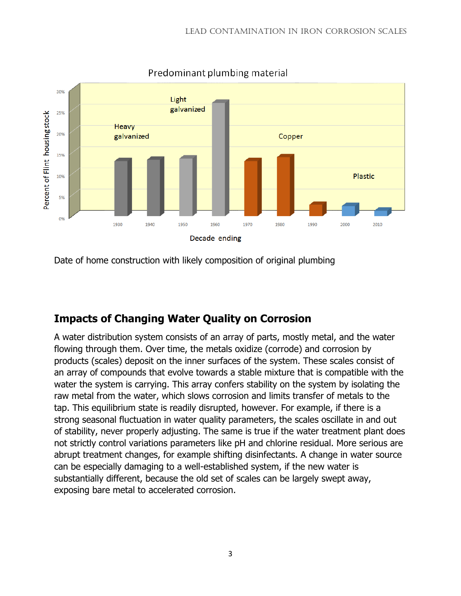

Predominant plumbing material

Date of home construction with likely composition of original plumbing

## **Impacts of Changing Water Quality on Corrosion**

A water distribution system consists of an array of parts, mostly metal, and the water flowing through them. Over time, the metals oxidize (corrode) and corrosion by products (scales) deposit on the inner surfaces of the system. These scales consist of an array of compounds that evolve towards a stable mixture that is compatible with the water the system is carrying. This array confers stability on the system by isolating the raw metal from the water, which slows corrosion and limits transfer of metals to the tap. This equilibrium state is readily disrupted, however. For example, if there is a strong seasonal fluctuation in water quality parameters, the scales oscillate in and out of stability, never properly adjusting. The same is true if the water treatment plant does not strictly control variations parameters like pH and chlorine residual. More serious are abrupt treatment changes, for example shifting disinfectants. A change in water source can be especially damaging to a well-established system, if the new water is substantially different, because the old set of scales can be largely swept away, exposing bare metal to accelerated corrosion.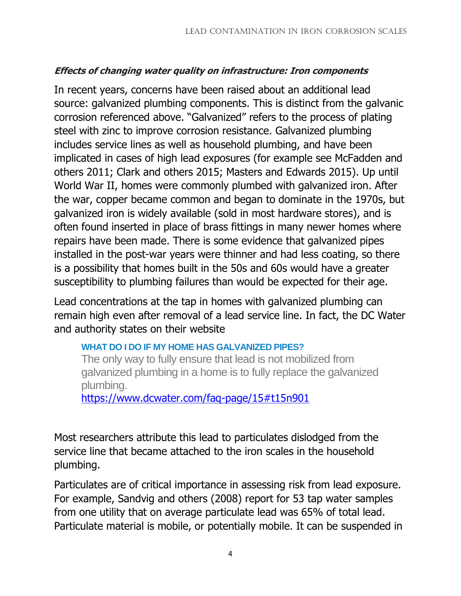### **Effects of changing water quality on infrastructure: Iron components**

In recent years, concerns have been raised about an additional lead source: galvanized plumbing components. This is distinct from the galvanic corrosion referenced above. "Galvanized" refers to the process of plating steel with zinc to improve corrosion resistance. Galvanized plumbing includes service lines as well as household plumbing, and have been implicated in cases of high lead exposures (for example see McFadden and others 2011; Clark and others 2015; Masters and Edwards 2015). Up until World War II, homes were commonly plumbed with galvanized iron. After the war, copper became common and began to dominate in the 1970s, but galvanized iron is widely available (sold in most hardware stores), and is often found inserted in place of brass fittings in many newer homes where repairs have been made. There is some evidence that galvanized pipes installed in the post-war years were thinner and had less coating, so there is a possibility that homes built in the 50s and 60s would have a greater susceptibility to plumbing failures than would be expected for their age.

Lead concentrations at the tap in homes with galvanized plumbing can remain high even after removal of a lead service line. In fact, the DC Water and authority states on their website

#### **[WHAT DO I DO IF MY HOME HAS GALVANIZED PIPES?](https://www.dcwater.com/faq-page/15)**

The only way to fully ensure that lead is not mobilized from galvanized plumbing in a home is to fully replace the galvanized plumbing.

<https://www.dcwater.com/faq-page/15#t15n901>

Most researchers attribute this lead to particulates dislodged from the service line that became attached to the iron scales in the household plumbing.

Particulates are of critical importance in assessing risk from lead exposure. For example, Sandvig and others (2008) report for 53 tap water samples from one utility that on average particulate lead was 65% of total lead. Particulate material is mobile, or potentially mobile. It can be suspended in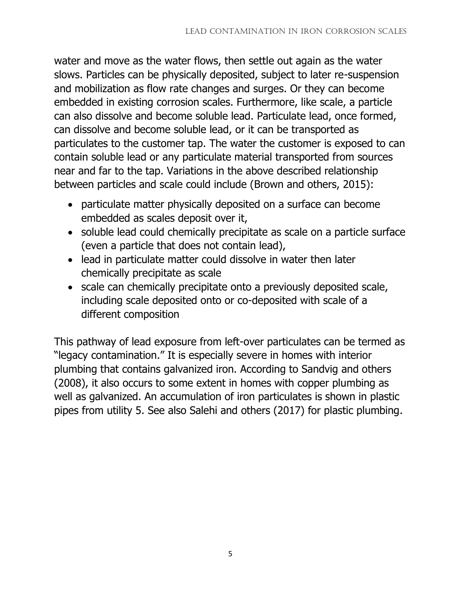water and move as the water flows, then settle out again as the water slows. Particles can be physically deposited, subject to later re-suspension and mobilization as flow rate changes and surges. Or they can become embedded in existing corrosion scales. Furthermore, like scale, a particle can also dissolve and become soluble lead. Particulate lead, once formed, can dissolve and become soluble lead, or it can be transported as particulates to the customer tap. The water the customer is exposed to can contain soluble lead or any particulate material transported from sources near and far to the tap. Variations in the above described relationship between particles and scale could include (Brown and others, 2015):

- particulate matter physically deposited on a surface can become embedded as scales deposit over it,
- soluble lead could chemically precipitate as scale on a particle surface (even a particle that does not contain lead),
- lead in particulate matter could dissolve in water then later chemically precipitate as scale
- scale can chemically precipitate onto a previously deposited scale, including scale deposited onto or co-deposited with scale of a different composition

This pathway of lead exposure from left-over particulates can be termed as "legacy contamination." It is especially severe in homes with interior plumbing that contains galvanized iron. According to Sandvig and others (2008), it also occurs to some extent in homes with copper plumbing as well as galvanized. An accumulation of iron particulates is shown in plastic pipes from utility 5. See also Salehi and others (2017) for plastic plumbing.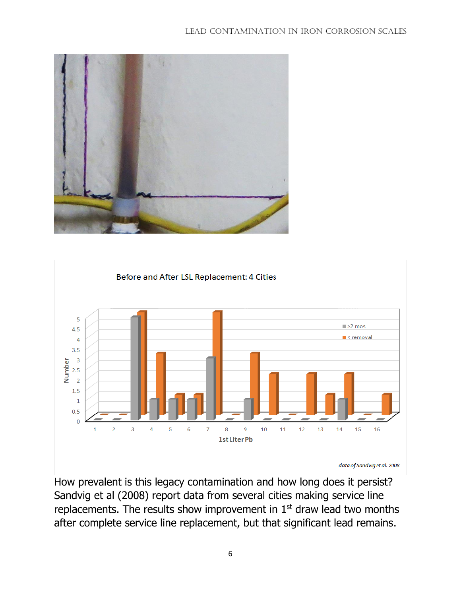#### LEAD CONTAMINATION IN IRON CORROSION SCALES





How prevalent is this legacy contamination and how long does it persist? Sandvig et al (2008) report data from several cities making service line replacements. The results show improvement in  $1<sup>st</sup>$  draw lead two months after complete service line replacement, but that significant lead remains.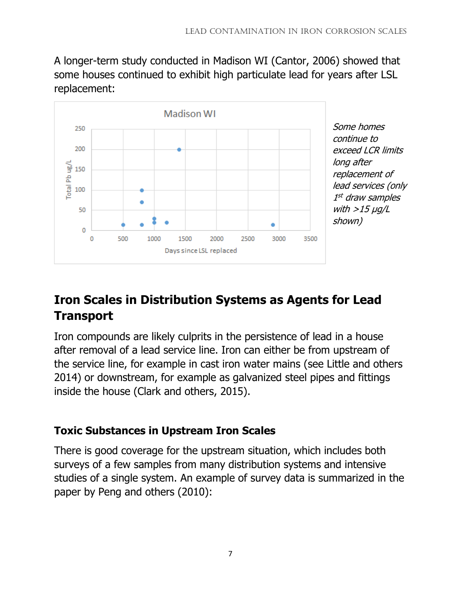A longer-term study conducted in Madison WI (Cantor, 2006) showed that some houses continued to exhibit high particulate lead for years after LSL replacement:



Some homes continue to exceed LCR limits long after replacement of lead services (only 1 st draw samples with  $>$ 15  $\mu$ g/L shown)

# **Iron Scales in Distribution Systems as Agents for Lead Transport**

Iron compounds are likely culprits in the persistence of lead in a house after removal of a lead service line. Iron can either be from upstream of the service line, for example in cast iron water mains (see Little and others 2014) or downstream, for example as galvanized steel pipes and fittings inside the house (Clark and others, 2015).

# **Toxic Substances in Upstream Iron Scales**

There is good coverage for the upstream situation, which includes both surveys of a few samples from many distribution systems and intensive studies of a single system. An example of survey data is summarized in the paper by Peng and others (2010):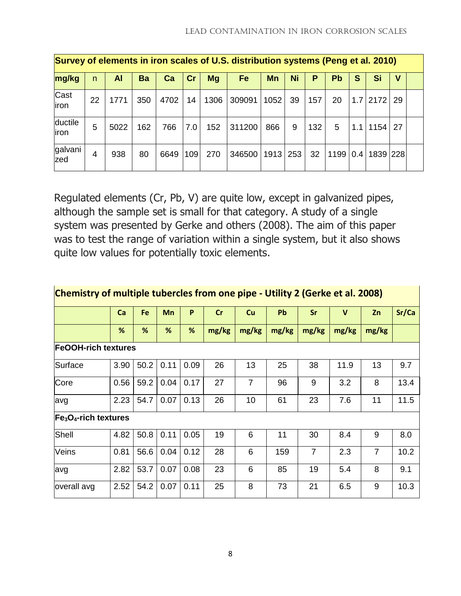|                   | Survey of elements in iron scales of U.S. distribution systems (Peng et al. 2010) |      |     |      |     |      |        |      |     |     |      |   |                    |    |  |
|-------------------|-----------------------------------------------------------------------------------|------|-----|------|-----|------|--------|------|-----|-----|------|---|--------------------|----|--|
| mg/kg             | n.                                                                                | Al   | Ba  | Ca   | Cr  | Mg   | Fe     | Mn   | Ni  | P   | Рb   | S | Si                 | v  |  |
| Cast<br>liron     | 22                                                                                | 1771 | 350 | 4702 | 14  | 1306 | 309091 | 1052 | 39  | 157 | 20   |   | $1.7$ 2172         | 29 |  |
| ductile<br>liron. | 5                                                                                 | 5022 | 162 | 766  | 7.0 | 152  | 311200 | 866  | 9   | 132 | 5    |   | $1.1$   1154       | 27 |  |
| galvani<br>zed    | 4                                                                                 | 938  | 80  | 6649 | 109 | 270  | 346500 | 1913 | 253 | 32  | 1199 |   | $0.4$   1839   228 |    |  |

Regulated elements (Cr, Pb, V) are quite low, except in galvanized pipes, although the sample set is small for that category. A study of a single system was presented by Gerke and others (2008). The aim of this paper was to test the range of variation within a single system, but it also shows quite low values for potentially toxic elements.

| Chemistry of multiple tubercles from one pipe - Utility 2 (Gerke et al. 2008) |      |      |           |      |       |                |       |                |             |                |       |
|-------------------------------------------------------------------------------|------|------|-----------|------|-------|----------------|-------|----------------|-------------|----------------|-------|
|                                                                               | Ca   | Fe   | <b>Mn</b> | P    | Cr    | Cu             | Pb    | Sr             | $\mathbf v$ | Zn             | Sr/Ca |
|                                                                               | %    | %    | %         | %    | mg/kg | mg/kg          | mg/kg | mg/kg          | mg/kg       | mg/kg          |       |
| <b>FeOOH-rich textures</b>                                                    |      |      |           |      |       |                |       |                |             |                |       |
| Surface                                                                       | 3.90 | 50.2 | 0.11      | 0.09 | 26    | 13             | 25    | 38             | 11.9        | 13             | 9.7   |
| Core                                                                          | 0.56 | 59.2 | 0.04      | 0.17 | 27    | $\overline{7}$ | 96    | 9              | 3.2         | 8              | 13.4  |
| avg                                                                           | 2.23 | 54.7 | 0.07      | 0.13 | 26    | 10             | 61    | 23             | 7.6         | 11             | 11.5  |
| $Fe3O4$ -rich textures                                                        |      |      |           |      |       |                |       |                |             |                |       |
| Shell                                                                         | 4.82 | 50.8 | 0.11      | 0.05 | 19    | 6              | 11    | 30             | 8.4         | 9              | 8.0   |
| Veins                                                                         | 0.81 | 56.6 | 0.04      | 0.12 | 28    | 6              | 159   | $\overline{7}$ | 2.3         | $\overline{7}$ | 10.2  |
| avg                                                                           | 2.82 | 53.7 | 0.07      | 0.08 | 23    | 6              | 85    | 19             | 5.4         | 8              | 9.1   |
| overall avg                                                                   | 2.52 | 54.2 | 0.07      | 0.11 | 25    | 8              | 73    | 21             | 6.5         | 9              | 10.3  |

8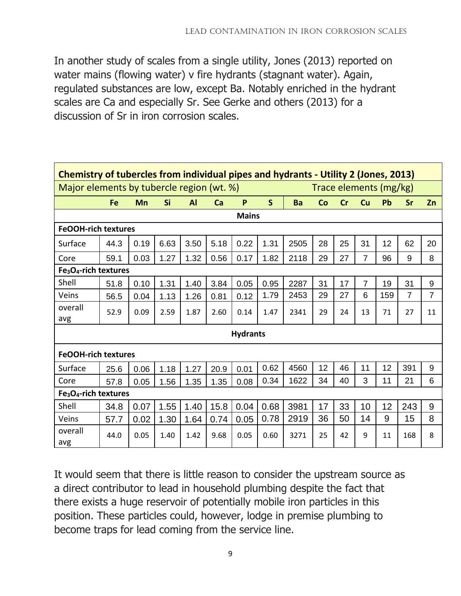In another study of scales from a single utility, Jones (2013) reported on water mains (flowing water) v fire hydrants (stagnant water). Again, regulated substances are low, except Ba. Notably enriched in the hydrant scales are Ca and especially Sr. See Gerke and others (2013) for a discussion of Sr in iron corrosion scales.

| Chemistry of tubercles from individual pipes and hydrants - Utility 2 (Jones, 2013) |                                                                     |      |           |           |      |      |      |      |    |    |                |     |                |                |
|-------------------------------------------------------------------------------------|---------------------------------------------------------------------|------|-----------|-----------|------|------|------|------|----|----|----------------|-----|----------------|----------------|
|                                                                                     | Major elements by tubercle region (wt. %)<br>Trace elements (mg/kg) |      |           |           |      |      |      |      |    |    |                |     |                |                |
|                                                                                     | Fe                                                                  | Mn   | <b>Si</b> | <b>Al</b> | Ca   | P    | S    | Ba   | Co | cr | Cu             | Pb  | Sr             | Zn             |
| <b>Mains</b>                                                                        |                                                                     |      |           |           |      |      |      |      |    |    |                |     |                |                |
|                                                                                     | <b>FeOOH-rich textures</b>                                          |      |           |           |      |      |      |      |    |    |                |     |                |                |
| Surface                                                                             | 44.3                                                                | 0.19 | 6.63      | 3.50      | 5.18 | 0.22 | 1.31 | 2505 | 28 | 25 | 31             | 12  | 62             | 20             |
| Core                                                                                | 59.1                                                                | 0.03 | 1.27      | 1.32      | 0.56 | 0.17 | 1.82 | 2118 | 29 | 27 | $\overline{7}$ | 96  | 9              | 8              |
| Fe <sub>3</sub> O <sub>4</sub> -rich textures                                       |                                                                     |      |           |           |      |      |      |      |    |    |                |     |                |                |
| Shell                                                                               | 51.8                                                                | 0.10 | 1.31      | 1.40      | 3.84 | 0.05 | 0.95 | 2287 | 31 | 17 | $\overline{7}$ | 19  | 31             | 9              |
| Veins                                                                               | 56.5                                                                | 0.04 | 1.13      | 1.26      | 0.81 | 0.12 | 1.79 | 2453 | 29 | 27 | 6              | 159 | $\overline{7}$ | $\overline{7}$ |
| overall<br>avg                                                                      | 52.9                                                                | 0.09 | 2.59      | 1.87      | 2.60 | 0.14 | 1.47 | 2341 | 29 | 24 | 13             | 71  | 27             | 11             |
|                                                                                     | <b>Hydrants</b>                                                     |      |           |           |      |      |      |      |    |    |                |     |                |                |
| <b>FeOOH-rich textures</b>                                                          |                                                                     |      |           |           |      |      |      |      |    |    |                |     |                |                |
| Surface                                                                             | 25.6                                                                | 0.06 | 1.18      | 1.27      | 20.9 | 0.01 | 0.62 | 4560 | 12 | 46 | 11             | 12  | 391            | 9              |
| Core                                                                                | 57.8                                                                | 0.05 | 1.56      | 1.35      | 1.35 | 0.08 | 0.34 | 1622 | 34 | 40 | 3              | 11  | 21             | 6              |
| Fe <sub>3</sub> O <sub>4</sub> -rich textures                                       |                                                                     |      |           |           |      |      |      |      |    |    |                |     |                |                |
| Shell                                                                               | 34.8                                                                | 0.07 | 1.55      | 1.40      | 15.8 | 0.04 | 0.68 | 3981 | 17 | 33 | 10             | 12  | 243            | 9              |
| Veins                                                                               | 57.7                                                                | 0.02 | 1.30      | 1.64      | 0.74 | 0.05 | 0.78 | 2919 | 36 | 50 | 14             | 9   | 15             | 8              |
| overall<br>avg                                                                      | 44.0                                                                | 0.05 | 1.40      | 1.42      | 9.68 | 0.05 | 0.60 | 3271 | 25 | 42 | 9              | 11  | 168            | 8              |

It would seem that there is little reason to consider the upstream source as a direct contributor to lead in household plumbing despite the fact that there exists a huge reservoir of potentially mobile iron particles in this position. These particles could, however, lodge in premise plumbing to become traps for lead coming from the service line.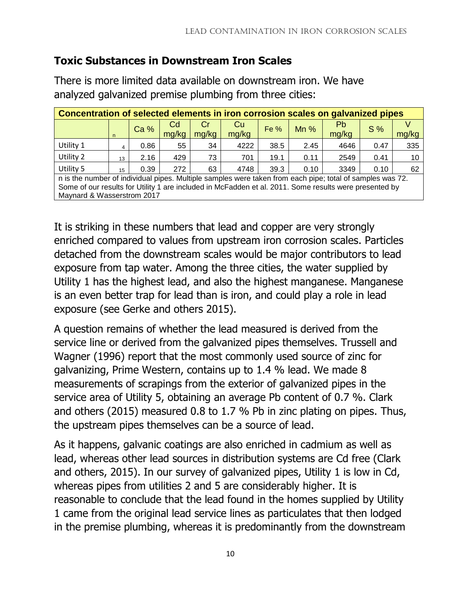# **Toxic Substances in Downstream Iron Scales**

There is more limited data available on downstream iron. We have analyzed galvanized premise plumbing from three cities:

| Concentration of selected elements in iron corrosion scales on galvanized pipes                           |                  |                 |             |             |                    |        |        |                    |      |       |
|-----------------------------------------------------------------------------------------------------------|------------------|-----------------|-------------|-------------|--------------------|--------|--------|--------------------|------|-------|
|                                                                                                           | n                | Ca <sub>%</sub> | Cd<br>mg/kg | Cr<br>mg/kg | <b>Cu</b><br>mg/kg | Fe $%$ | $Mn$ % | <b>Pb</b><br>mg/kg | S%   | mg/kg |
| Utility 1                                                                                                 | 4                | 0.86            | 55          | 34          | 4222               | 38.5   | 2.45   | 4646               | 0.47 | 335   |
| Utility 2                                                                                                 | 13 <sup>13</sup> | 2.16            | 429         | 73          | 701                | 19.1   | 0.11   | 2549               | 0.41 | 10    |
| Utility 5                                                                                                 | 15               | 0.39            | 272         | 63          | 4748               | 39.3   | 0.10   | 3349               | 0.10 | 62    |
| n is the number of individual pipes. Multiple samples were taken from each pipe; total of samples was 72. |                  |                 |             |             |                    |        |        |                    |      |       |
| Some of our results for Utility 1 are included in McFadden et al. 2011. Some results were presented by    |                  |                 |             |             |                    |        |        |                    |      |       |
| Maynard & Wasserstrom 2017                                                                                |                  |                 |             |             |                    |        |        |                    |      |       |

It is striking in these numbers that lead and copper are very strongly enriched compared to values from upstream iron corrosion scales. Particles detached from the downstream scales would be major contributors to lead exposure from tap water. Among the three cities, the water supplied by Utility 1 has the highest lead, and also the highest manganese. Manganese is an even better trap for lead than is iron, and could play a role in lead exposure (see Gerke and others 2015).

A question remains of whether the lead measured is derived from the service line or derived from the galvanized pipes themselves. Trussell and Wagner (1996) report that the most commonly used source of zinc for galvanizing, Prime Western, contains up to 1.4 % lead. We made 8 measurements of scrapings from the exterior of galvanized pipes in the service area of Utility 5, obtaining an average Pb content of 0.7 %. Clark and others (2015) measured 0.8 to 1.7 % Pb in zinc plating on pipes. Thus, the upstream pipes themselves can be a source of lead.

As it happens, galvanic coatings are also enriched in cadmium as well as lead, whereas other lead sources in distribution systems are Cd free (Clark and others, 2015). In our survey of galvanized pipes, Utility 1 is low in Cd, whereas pipes from utilities 2 and 5 are considerably higher. It is reasonable to conclude that the lead found in the homes supplied by Utility 1 came from the original lead service lines as particulates that then lodged in the premise plumbing, whereas it is predominantly from the downstream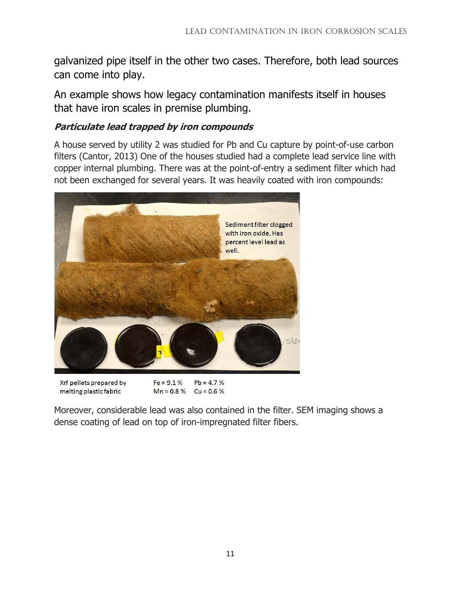galvanized pipe itself in the other two cases. Therefore, both lead sources can come into play.

An example shows how legacy contamination manifests itself in houses that have iron scales in premise plumbing.

#### **Particulate lead trapped by iron compounds**

A house served by utility 2 was studied for Pb and Cu capture by point-of-use carbon filters (Cantor, 2013) One of the houses studied had a complete lead service line with copper internal plumbing. There was at the point-of-entry a sediment filter which had not been exchanged for several years. It was heavily coated with iron compounds:



Xrf pellets prepared by melting plastic fabric

 $Fe = 9.1%$  $Pb = 4.7%$  $Mn = 0.8%$  $Cu = 0.6%$ 

Moreover, considerable lead was also contained in the filter. SEM imaging shows a dense coating of lead on top of iron-impregnated filter fibers.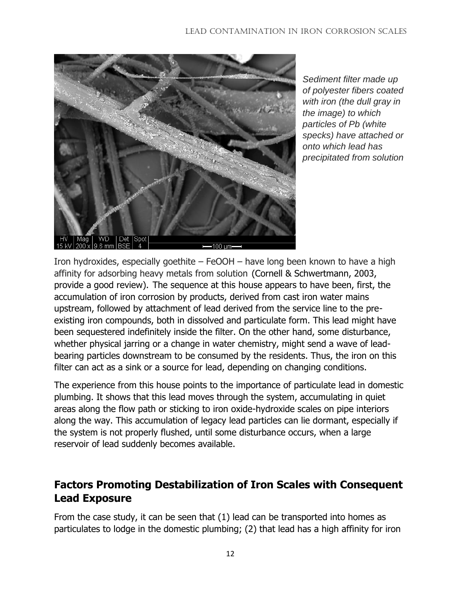

*Sediment filter made up of polyester fibers coated with iron (the dull gray in the image) to which particles of Pb (white specks) have attached or onto which lead has precipitated from solution*

Iron hydroxides, especially goethite – FeOOH – have long been known to have a high affinity for adsorbing heavy metals from solution (Cornell & Schwertmann, 2003, provide a good review). The sequence at this house appears to have been, first, the accumulation of iron corrosion by products, derived from cast iron water mains upstream, followed by attachment of lead derived from the service line to the preexisting iron compounds, both in dissolved and particulate form. This lead might have been sequestered indefinitely inside the filter. On the other hand, some disturbance, whether physical jarring or a change in water chemistry, might send a wave of leadbearing particles downstream to be consumed by the residents. Thus, the iron on this filter can act as a sink or a source for lead, depending on changing conditions.

The experience from this house points to the importance of particulate lead in domestic plumbing. It shows that this lead moves through the system, accumulating in quiet areas along the flow path or sticking to iron oxide-hydroxide scales on pipe interiors along the way. This accumulation of legacy lead particles can lie dormant, especially if the system is not properly flushed, until some disturbance occurs, when a large reservoir of lead suddenly becomes available.

# **Factors Promoting Destabilization of Iron Scales with Consequent Lead Exposure**

From the case study, it can be seen that (1) lead can be transported into homes as particulates to lodge in the domestic plumbing; (2) that lead has a high affinity for iron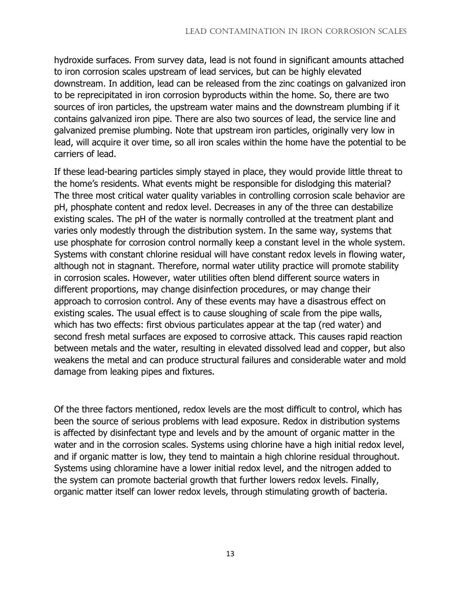hydroxide surfaces. From survey data, lead is not found in significant amounts attached to iron corrosion scales upstream of lead services, but can be highly elevated downstream. In addition, lead can be released from the zinc coatings on galvanized iron to be reprecipitated in iron corrosion byproducts within the home. So, there are two sources of iron particles, the upstream water mains and the downstream plumbing if it contains galvanized iron pipe. There are also two sources of lead, the service line and galvanized premise plumbing. Note that upstream iron particles, originally very low in lead, will acquire it over time, so all iron scales within the home have the potential to be carriers of lead.

If these lead-bearing particles simply stayed in place, they would provide little threat to the home's residents. What events might be responsible for dislodging this material? The three most critical water quality variables in controlling corrosion scale behavior are pH, phosphate content and redox level. Decreases in any of the three can destabilize existing scales. The pH of the water is normally controlled at the treatment plant and varies only modestly through the distribution system. In the same way, systems that use phosphate for corrosion control normally keep a constant level in the whole system. Systems with constant chlorine residual will have constant redox levels in flowing water, although not in stagnant. Therefore, normal water utility practice will promote stability in corrosion scales. However, water utilities often blend different source waters in different proportions, may change disinfection procedures, or may change their approach to corrosion control. Any of these events may have a disastrous effect on existing scales. The usual effect is to cause sloughing of scale from the pipe walls, which has two effects: first obvious particulates appear at the tap (red water) and second fresh metal surfaces are exposed to corrosive attack. This causes rapid reaction between metals and the water, resulting in elevated dissolved lead and copper, but also weakens the metal and can produce structural failures and considerable water and mold damage from leaking pipes and fixtures.

Of the three factors mentioned, redox levels are the most difficult to control, which has been the source of serious problems with lead exposure. Redox in distribution systems is affected by disinfectant type and levels and by the amount of organic matter in the water and in the corrosion scales. Systems using chlorine have a high initial redox level, and if organic matter is low, they tend to maintain a high chlorine residual throughout. Systems using chloramine have a lower initial redox level, and the nitrogen added to the system can promote bacterial growth that further lowers redox levels. Finally, organic matter itself can lower redox levels, through stimulating growth of bacteria.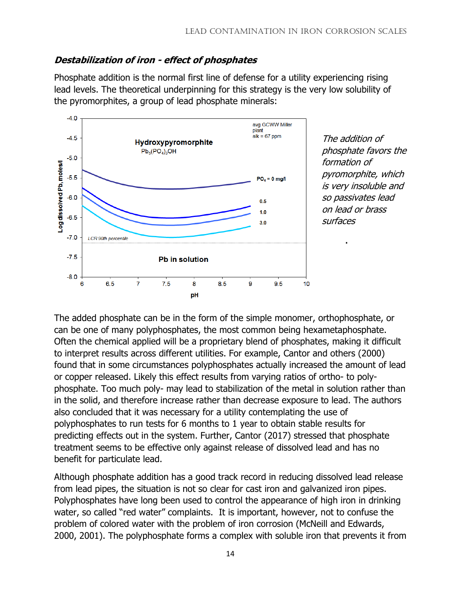#### **Destabilization of iron - effect of phosphates**

Phosphate addition is the normal first line of defense for a utility experiencing rising lead levels. The theoretical underpinning for this strategy is the very low solubility of the pyromorphites, a group of lead phosphate minerals:



The addition of phosphate favors the formation of pyromorphite, which is very insoluble and so passivates lead on lead or brass surfaces

.

The added phosphate can be in the form of the simple monomer, orthophosphate, or can be one of many polyphosphates, the most common being hexametaphosphate. Often the chemical applied will be a proprietary blend of phosphates, making it difficult to interpret results across different utilities. For example, Cantor and others (2000) found that in some circumstances polyphosphates actually increased the amount of lead or copper released. Likely this effect results from varying ratios of ortho- to polyphosphate. Too much poly- may lead to stabilization of the metal in solution rather than in the solid, and therefore increase rather than decrease exposure to lead. The authors also concluded that it was necessary for a utility contemplating the use of polyphosphates to run tests for 6 months to 1 year to obtain stable results for predicting effects out in the system. Further, Cantor (2017) stressed that phosphate treatment seems to be effective only against release of dissolved lead and has no benefit for particulate lead.

Although phosphate addition has a good track record in reducing dissolved lead release from lead pipes, the situation is not so clear for cast iron and galvanized iron pipes. Polyphosphates have long been used to control the appearance of high iron in drinking water, so called "red water" complaints. It is important, however, not to confuse the problem of colored water with the problem of iron corrosion (McNeill and Edwards, 2000, 2001). The polyphosphate forms a complex with soluble iron that prevents it from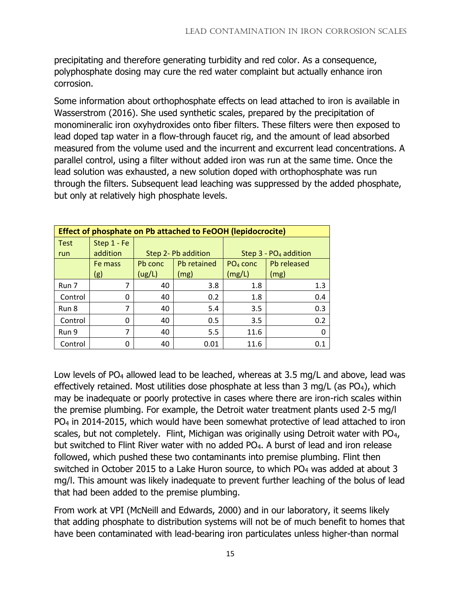precipitating and therefore generating turbidity and red color. As a consequence, polyphosphate dosing may cure the red water complaint but actually enhance iron corrosion.

Some information about orthophosphate effects on lead attached to iron is available in Wasserstrom (2016). She used synthetic scales, prepared by the precipitation of monomineralic iron oxyhydroxides onto fiber filters. These filters were then exposed to lead doped tap water in a flow-through faucet rig, and the amount of lead absorbed measured from the volume used and the incurrent and excurrent lead concentrations. A parallel control, using a filter without added iron was run at the same time. Once the lead solution was exhausted, a new solution doped with orthophosphate was run through the filters. Subsequent lead leaching was suppressed by the added phosphate, but only at relatively high phosphate levels.

| <b>Effect of phosphate on Pb attached to FeOOH (lepidocrocite)</b> |             |         |                     |                                   |             |  |  |  |
|--------------------------------------------------------------------|-------------|---------|---------------------|-----------------------------------|-------------|--|--|--|
| <b>Test</b>                                                        | Step 1 - Fe |         |                     |                                   |             |  |  |  |
| run                                                                | addition    |         | Step 2- Pb addition | Step 3 - PO <sub>4</sub> addition |             |  |  |  |
|                                                                    | Fe mass     | Pb conc | Pb retained         | $PO4$ conc                        | Pb released |  |  |  |
|                                                                    | (g)         | (ug/L)  | (mg)                | (mg/L)                            | (mg)        |  |  |  |
| Run 7                                                              | 7           | 40      | 3.8                 | 1.8                               | 1.3         |  |  |  |
| Control                                                            | 0           | 40      | 0.2                 | 1.8                               | 0.4         |  |  |  |
| Run 8                                                              | 7           | 40      | 5.4                 | 3.5                               | 0.3         |  |  |  |
| Control                                                            | 0           | 40      | 0.5                 | 3.5                               | 0.2         |  |  |  |
| Run 9                                                              | 7           | 40      | 5.5                 | 11.6                              |             |  |  |  |
| Control                                                            | 0           | 40      | 0.01                | 11.6                              | 0.1         |  |  |  |

Low levels of PO<sub>4</sub> allowed lead to be leached, whereas at 3.5 mg/L and above, lead was effectively retained. Most utilities dose phosphate at less than  $3 \text{ mg/L}$  (as PO<sub>4</sub>), which may be inadequate or poorly protective in cases where there are iron-rich scales within the premise plumbing. For example, the Detroit water treatment plants used 2-5 mg/l PO<sup>4</sup> in 2014-2015, which would have been somewhat protective of lead attached to iron scales, but not completely. Flint, Michigan was originally using Detroit water with PO<sub>4</sub>, but switched to Flint River water with no added PO4. A burst of lead and iron release followed, which pushed these two contaminants into premise plumbing. Flint then switched in October 2015 to a Lake Huron source, to which PO<sub>4</sub> was added at about 3 mg/l. This amount was likely inadequate to prevent further leaching of the bolus of lead that had been added to the premise plumbing.

From work at VPI (McNeill and Edwards, 2000) and in our laboratory, it seems likely that adding phosphate to distribution systems will not be of much benefit to homes that have been contaminated with lead-bearing iron particulates unless higher-than normal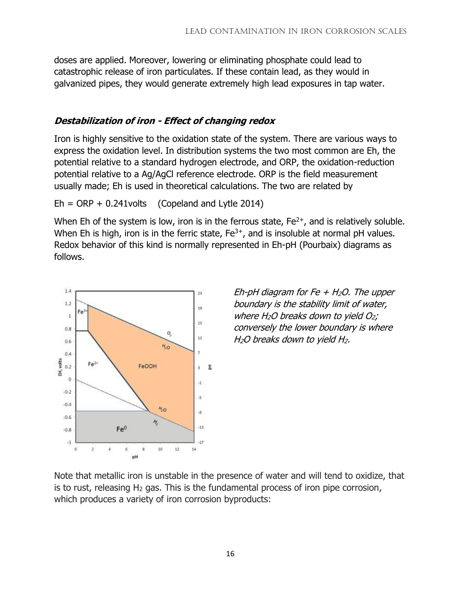doses are applied. Moreover, lowering or eliminating phosphate could lead to catastrophic release of iron particulates. If these contain lead, as they would in galvanized pipes, they would generate extremely high lead exposures in tap water.

### **Destabilization of iron - Effect of changing redox**

Iron is highly sensitive to the oxidation state of the system. There are various ways to express the oxidation level. In distribution systems the two most common are Eh, the potential relative to a standard hydrogen electrode, and ORP, the oxidation-reduction potential relative to a Ag/AgCl reference electrode. ORP is the field measurement usually made; Eh is used in theoretical calculations. The two are related by

 $Eh = ORP + 0.241$ volts (Copeland and Lytle 2014)

When Eh of the system is low, iron is in the ferrous state,  $Fe^{2+}$ , and is relatively soluble. When Eh is high, iron is in the ferric state,  $Fe^{3+}$ , and is insoluble at normal pH values. Redox behavior of this kind is normally represented in Eh-pH (Pourbaix) diagrams as follows.



Eh-pH diagram for Fe  $+$  H<sub>2</sub>O. The upper boundary is the stability limit of water, where  $H_2O$  breaks down to yield  $O_2$ ; conversely the lower boundary is where  $H<sub>2</sub>O$  breaks down to yield  $H<sub>2</sub>$ .

Note that metallic iron is unstable in the presence of water and will tend to oxidize, that is to rust, releasing  $H_2$  gas. This is the fundamental process of iron pipe corrosion, which produces a variety of iron corrosion byproducts: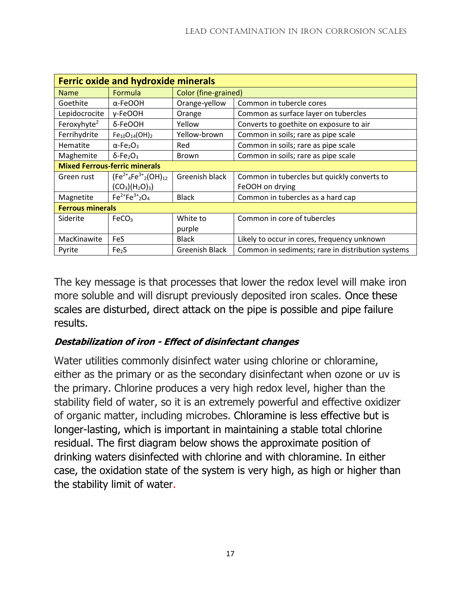| <b>Ferric oxide and hydroxide minerals</b> |                                          |                       |                                                   |  |  |  |  |  |
|--------------------------------------------|------------------------------------------|-----------------------|---------------------------------------------------|--|--|--|--|--|
| <b>Name</b>                                | Formula                                  | Color (fine-grained)  |                                                   |  |  |  |  |  |
| Goethite                                   | α-FeOOH                                  | Orange-yellow         | Common in tubercle cores                          |  |  |  |  |  |
| Lepidocrocite                              | γ-FeOOH                                  | Orange                | Common as surface layer on tubercles              |  |  |  |  |  |
| Feroxyhyte <sup>2</sup>                    | δ-FeOOH                                  | Yellow                | Converts to goethite on exposure to air           |  |  |  |  |  |
| Ferrihydrite                               | $Fe10O14(OH)2$                           | Yellow-brown          | Common in soils; rare as pipe scale               |  |  |  |  |  |
| Hematite                                   | $\alpha$ -Fe <sub>2</sub> O <sub>3</sub> | Red                   | Common in soils; rare as pipe scale               |  |  |  |  |  |
| Maghemite                                  | $\delta$ -Fe <sub>2</sub> O <sub>3</sub> | <b>Brown</b>          | Common in soils; rare as pipe scale               |  |  |  |  |  |
| <b>Mixed Ferrous-ferric minerals</b>       |                                          |                       |                                                   |  |  |  |  |  |
| Green rust                                 | $(Fe2+4Fe3+2(OH)12$                      | Greenish black        | Common in tubercles but quickly converts to       |  |  |  |  |  |
|                                            | $(CO_3)(H_2O)_3$                         |                       | FeOOH on drying                                   |  |  |  |  |  |
| Magnetite                                  | $Fe^{2+}Fe^{3+}2O_4$                     | <b>Black</b>          | Common in tubercles as a hard cap                 |  |  |  |  |  |
| <b>Ferrous minerals</b>                    |                                          |                       |                                                   |  |  |  |  |  |
| Siderite                                   | FeCO <sub>3</sub>                        | White to              | Common in core of tubercles                       |  |  |  |  |  |
|                                            |                                          | purple                |                                                   |  |  |  |  |  |
| MacKinawite                                | <b>FeS</b>                               | <b>Black</b>          | Likely to occur in cores, frequency unknown       |  |  |  |  |  |
| Pyrite                                     | Fe <sub>2</sub> S                        | <b>Greenish Black</b> | Common in sediments; rare in distribution systems |  |  |  |  |  |

The key message is that processes that lower the redox level will make iron more soluble and will disrupt previously deposited iron scales. Once these scales are disturbed, direct attack on the pipe is possible and pipe failure results.

### **Destabilization of iron - Effect of disinfectant changes**

Water utilities commonly disinfect water using chlorine or chloramine, either as the primary or as the secondary disinfectant when ozone or uv is the primary. Chlorine produces a very high redox level, higher than the stability field of water, so it is an extremely powerful and effective oxidizer of organic matter, including microbes. Chloramine is less effective but is longer-lasting, which is important in maintaining a stable total chlorine residual. The first diagram below shows the approximate position of drinking waters disinfected with chlorine and with chloramine. In either case, the oxidation state of the system is very high, as high or higher than the stability limit of water.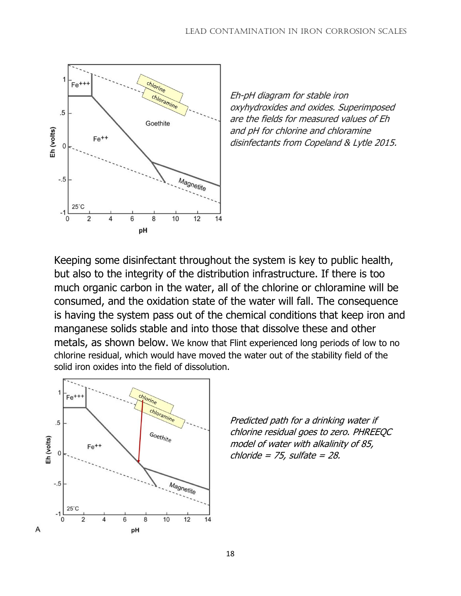

Eh-pH diagram for stable iron oxyhydroxides and oxides. Superimposed are the fields for measured values of Eh and pH for chlorine and chloramine disinfectants from Copeland & Lytle 2015.

Keeping some disinfectant throughout the system is key to public health, but also to the integrity of the distribution infrastructure. If there is too much organic carbon in the water, all of the chlorine or chloramine will be consumed, and the oxidation state of the water will fall. The consequence is having the system pass out of the chemical conditions that keep iron and manganese solids stable and into those that dissolve these and other metals, as shown below. We know that Flint experienced long periods of low to no chlorine residual, which would have moved the water out of the stability field of the solid iron oxides into the field of dissolution.



Predicted path for a drinking water if chlorine residual goes to zero. PHREEQC model of water with alkalinity of 85, chloride = 75, sulfate =  $28$ .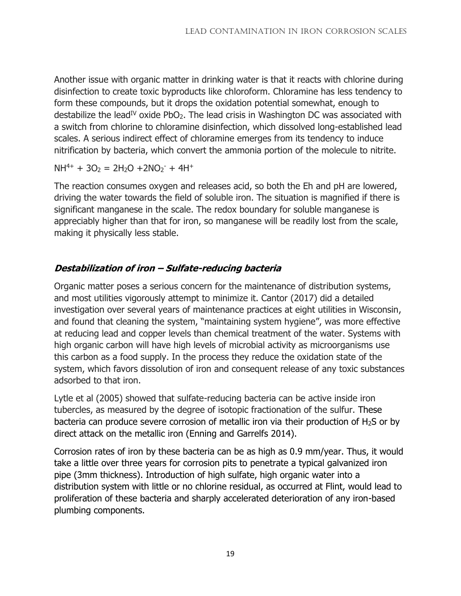Another issue with organic matter in drinking water is that it reacts with chlorine during disinfection to create toxic byproducts like chloroform. Chloramine has less tendency to form these compounds, but it drops the oxidation potential somewhat, enough to destabilize the lead<sup>IV</sup> oxide PbO<sub>2</sub>. The lead crisis in Washington DC was associated with a switch from chlorine to chloramine disinfection, which dissolved long-established lead scales. A serious indirect effect of chloramine emerges from its tendency to induce nitrification by bacteria, which convert the ammonia portion of the molecule to nitrite.

 $NH^{4+} + 3O_2 = 2H_2O + 2NO_2^- + 4H^+$ 

The reaction consumes oxygen and releases acid, so both the Eh and pH are lowered, driving the water towards the field of soluble iron. The situation is magnified if there is significant manganese in the scale. The redox boundary for soluble manganese is appreciably higher than that for iron, so manganese will be readily lost from the scale, making it physically less stable.

### **Destabilization of iron – Sulfate-reducing bacteria**

Organic matter poses a serious concern for the maintenance of distribution systems, and most utilities vigorously attempt to minimize it. Cantor (2017) did a detailed investigation over several years of maintenance practices at eight utilities in Wisconsin, and found that cleaning the system, "maintaining system hygiene", was more effective at reducing lead and copper levels than chemical treatment of the water. Systems with high organic carbon will have high levels of microbial activity as microorganisms use this carbon as a food supply. In the process they reduce the oxidation state of the system, which favors dissolution of iron and consequent release of any toxic substances adsorbed to that iron.

Lytle et al (2005) showed that sulfate-reducing bacteria can be active inside iron tubercles, as measured by the degree of isotopic fractionation of the sulfur. These bacteria can produce severe corrosion of metallic iron via their production of  $H_2S$  or by direct attack on the metallic iron (Enning and Garrelfs 2014).

Corrosion rates of iron by these bacteria can be as high as 0.9 mm/year. Thus, it would take a little over three years for corrosion pits to penetrate a typical galvanized iron pipe (3mm thickness). Introduction of high sulfate, high organic water into a distribution system with little or no chlorine residual, as occurred at Flint, would lead to proliferation of these bacteria and sharply accelerated deterioration of any iron-based plumbing components.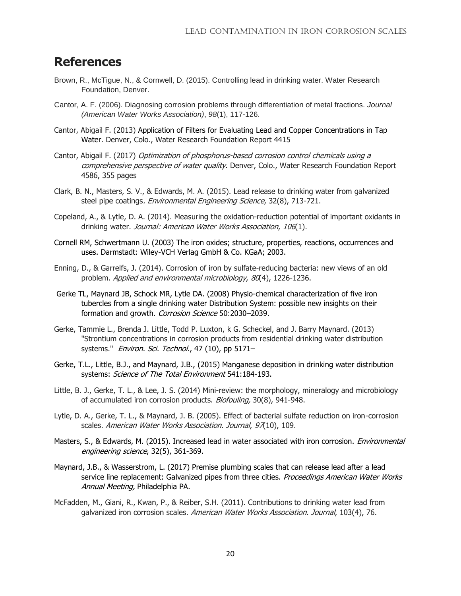### **References**

- Brown, R., McTigue, N., & Cornwell, D. (2015). Controlling lead in drinking water. Water Research Foundation, Denver.
- Cantor, A. F. (2006). Diagnosing corrosion problems through differentiation of metal fractions. *Journal (American Water Works Association)*, *98*(1), 117-126.
- Cantor, Abigail F. (2013) Application of Filters for Evaluating Lead and Copper Concentrations in Tap Water. Denver, Colo., Water Research Foundation Report 4415
- Cantor, Abigail F. (2017) Optimization of phosphorus-based corrosion control chemicals using a comprehensive perspective of water quality. Denver, Colo., Water Research Foundation Report 4586, 355 pages
- Clark, B. N., Masters, S. V., & Edwards, M. A. (2015). Lead release to drinking water from galvanized steel pipe coatings. Environmental Engineering Science, 32(8), 713-721.
- Copeland, A., & Lytle, D. A. (2014). Measuring the oxidation-reduction potential of important oxidants in drinking water. Journal: American Water Works Association, 106(1).
- Cornell RM, Schwertmann U. (2003) The iron oxides; structure, properties, reactions, occurrences and uses. Darmstadt: Wiley-VCH Verlag GmbH & Co. KGaA; 2003.
- Enning, D., & Garrelfs, J. (2014). Corrosion of iron by sulfate-reducing bacteria: new views of an old problem. Applied and environmental microbiology, 80(4), 1226-1236.
- Gerke TL, Maynard JB, Schock MR, Lytle DA. (2008) Physio-chemical characterization of five iron tubercles from a single drinking water Distribution System: possible new insights on their formation and growth. Corrosion Science 50:2030-2039.
- Gerke, Tammie L., Brenda J. Little, Todd P. Luxton, k G. Scheckel, and J. Barry Maynard. (2013) "Strontium concentrations in corrosion products from residential drinking water distribution systems." Environ. Sci. Technol., 47 (10), pp 5171-
- Gerke, T.L., Little, B.J., and Maynard, J.B., (2015) Manganese deposition in drinking water distribution systems: Science of The Total Environment 541:184-193.
- Little, B. J., Gerke, T. L., & Lee, J. S. (2014) Mini-review: the morphology, mineralogy and microbiology of accumulated iron corrosion products. Biofouling, 30(8), 941-948.
- Lytle, D. A., Gerke, T. L., & Maynard, J. B. (2005). Effect of bacterial sulfate reduction on iron-corrosion scales. American Water Works Association. Journal, 97(10), 109.
- Masters, S., & Edwards, M. (2015). Increased lead in water associated with iron corrosion. *Environmental* engineering science, 32(5), 361-369.
- Maynard, J.B., & Wasserstrom, L. (2017) Premise plumbing scales that can release lead after a lead service line replacement: Galvanized pipes from three cities. Proceedings American Water Works Annual Meeting, Philadelphia PA.
- McFadden, M., Giani, R., Kwan, P., & Reiber, S.H. (2011). Contributions to drinking water lead from galvanized iron corrosion scales. American Water Works Association. Journal, 103(4), 76.